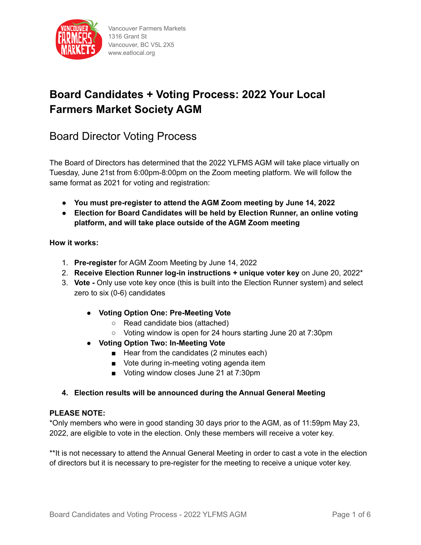

# **Board Candidates + Voting Process: 2022 Your Local Farmers Market Society AGM**

## Board Director Voting Process

The Board of Directors has determined that the 2022 YLFMS AGM will take place virtually on Tuesday, June 21st from 6:00pm-8:00pm on the Zoom meeting platform. We will follow the same format as 2021 for voting and registration:

- **● You must pre-register to attend the AGM Zoom meeting by June 14, 2022**
- **Election for Board Candidates will be held by Election Runner, an online voting platform, and will take place outside of the AGM Zoom meeting**

### **How it works:**

- 1. **Pre-register** for AGM Zoom Meeting by June 14, 2022
- 2. **Receive Election Runner log-in instructions + unique voter key** on June 20, 2022\*
- 3. **Vote -** Only use vote key once (this is built into the Election Runner system) and select zero to six (0-6) candidates
	- **● Voting Option One: Pre-Meeting Vote**
		- Read candidate bios (attached)
		- Voting window is open for 24 hours starting June 20 at 7:30pm
	- **● Voting Option Two: In-Meeting Vote**
		- Hear from the candidates (2 minutes each)
		- Vote during in-meeting voting agenda item
		- Voting window closes June 21 at 7:30pm

#### **4. Election results will be announced during the Annual General Meeting**

#### **PLEASE NOTE:**

\*Only members who were in good standing 30 days prior to the AGM, as of 11:59pm May 23, 2022, are eligible to vote in the election. Only these members will receive a voter key.

\*\*It is not necessary to attend the Annual General Meeting in order to cast a vote in the election of directors but it is necessary to pre-register for the meeting to receive a unique voter key.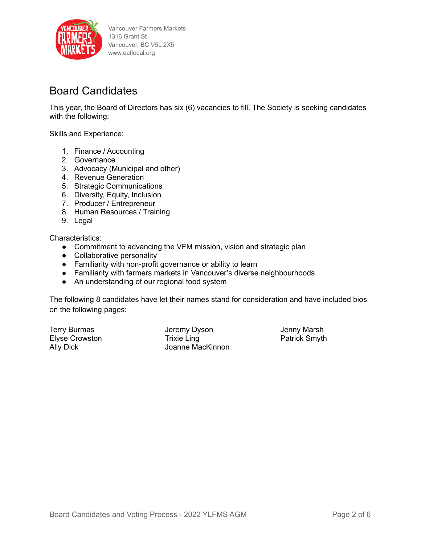

## Board Candidates

This year, the Board of Directors has six (6) vacancies to fill. The Society is seeking candidates with the following:

Skills and Experience:

- 1. Finance / Accounting
- 2. Governance
- 3. Advocacy (Municipal and other)
- 4. Revenue Generation
- 5. Strategic Communications
- 6. Diversity, Equity, Inclusion
- 7. Producer / Entrepreneur
- 8. Human Resources / Training
- 9. Legal

Characteristics:

- Commitment to advancing the VFM mission, vision and strategic plan
- Collaborative personality
- Familiarity with non-profit governance or ability to learn
- Familiarity with farmers markets in Vancouver's diverse neighbourhoods
- An understanding of our regional food system

The following 8 candidates have let their names stand for consideration and have included bios on the following pages:

Terry Burmas Elyse Crowston Ally Dick

Jeremy Dyson Trixie Ling Joanne MacKinnon Jenny Marsh Patrick Smyth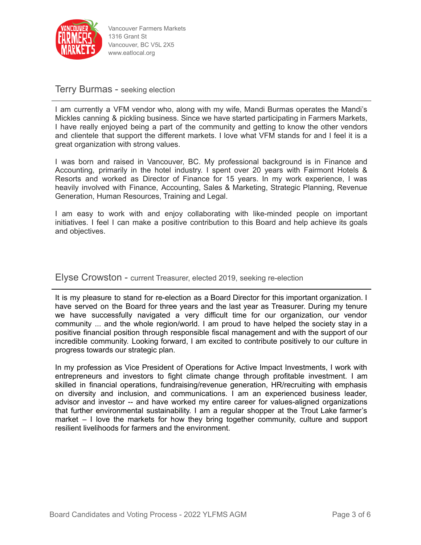

Terry Burmas - seeking election

I am currently a VFM vendor who, along with my wife, Mandi Burmas operates the Mandi's Mickles canning & pickling business. Since we have started participating in Farmers Markets, I have really enjoyed being a part of the community and getting to know the other vendors and clientele that support the different markets. I love what VFM stands for and I feel it is a great organization with strong values.

I was born and raised in Vancouver, BC. My professional background is in Finance and Accounting, primarily in the hotel industry. I spent over 20 years with Fairmont Hotels & Resorts and worked as Director of Finance for 15 years. In my work experience, I was heavily involved with Finance, Accounting, Sales & Marketing, Strategic Planning, Revenue Generation, Human Resources, Training and Legal.

I am easy to work with and enjoy collaborating with like-minded people on important initiatives. I feel I can make a positive contribution to this Board and help achieve its goals and objectives.

Elyse Crowston - current Treasurer, elected 2019, seeking re-election

It is my pleasure to stand for re-election as a Board Director for this important organization. I have served on the Board for three years and the last year as Treasurer. During my tenure we have successfully navigated a very difficult time for our organization, our vendor community ... and the whole region/world. I am proud to have helped the society stay in a positive financial position through responsible fiscal management and with the support of our incredible community. Looking forward, I am excited to contribute positively to our culture in progress towards our strategic plan.

In my profession as Vice President of Operations for Active Impact Investments, I work with entrepreneurs and investors to fight climate change through profitable investment. I am skilled in financial operations, fundraising/revenue generation, HR/recruiting with emphasis on diversity and inclusion, and communications. I am an experienced business leader, advisor and investor -- and have worked my entire career for values-aligned organizations that further environmental sustainability. I am a regular shopper at the Trout Lake farmer's market – I love the markets for how they bring together community, culture and support resilient livelihoods for farmers and the environment.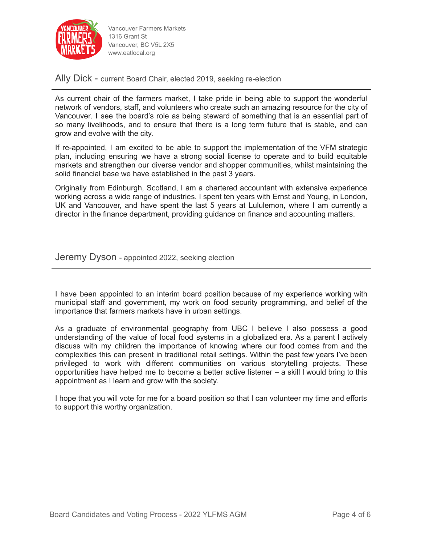

Ally Dick - current Board Chair, elected 2019, seeking re-election

As current chair of the farmers market, I take pride in being able to support the wonderful network of vendors, staff, and volunteers who create such an amazing resource for the city of Vancouver. I see the board's role as being steward of something that is an essential part of so many livelihoods, and to ensure that there is a long term future that is stable, and can grow and evolve with the city.

If re-appointed, I am excited to be able to support the implementation of the VFM strategic plan, including ensuring we have a strong social license to operate and to build equitable markets and strengthen our diverse vendor and shopper communities, whilst maintaining the solid financial base we have established in the past 3 years.

Originally from Edinburgh, Scotland, I am a chartered accountant with extensive experience working across a wide range of industries. I spent ten years with Ernst and Young, in London, UK and Vancouver, and have spent the last 5 years at Lululemon, where I am currently a director in the finance department, providing guidance on finance and accounting matters.

Jeremy Dyson - appointed 2022, seeking election

I have been appointed to an interim board position because of my experience working with municipal staff and government, my work on food security programming, and belief of the importance that farmers markets have in urban settings.

As a graduate of environmental geography from UBC I believe I also possess a good understanding of the value of local food systems in a globalized era. As a parent I actively discuss with my children the importance of knowing where our food comes from and the complexities this can present in traditional retail settings. Within the past few years I've been privileged to work with different communities on various storytelling projects. These opportunities have helped me to become a better active listener – a skill I would bring to this appointment as I learn and grow with the society.

I hope that you will vote for me for a board position so that I can volunteer my time and efforts to support this worthy organization.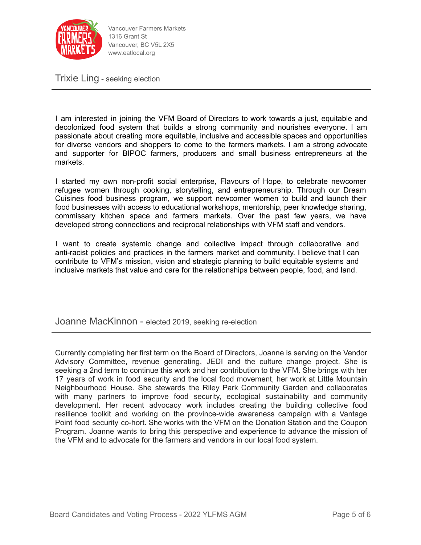

Trixie Ling - seeking election

I am interested in joining the VFM Board of Directors to work towards a just, equitable and decolonized food system that builds a strong community and nourishes everyone. I am passionate about creating more equitable, inclusive and accessible spaces and opportunities for diverse vendors and shoppers to come to the farmers markets. I am a strong advocate and supporter for BIPOC farmers, producers and small business entrepreneurs at the markets.

I started my own non-profit social enterprise, Flavours of Hope, to celebrate newcomer refugee women through cooking, storytelling, and entrepreneurship. Through our Dream Cuisines food business program, we support newcomer women to build and launch their food businesses with access to educational workshops, mentorship, peer knowledge sharing, commissary kitchen space and farmers markets. Over the past few years, we have developed strong connections and reciprocal relationships with VFM staff and vendors.

I want to create systemic change and collective impact through collaborative and anti-racist policies and practices in the farmers market and community. I believe that I can contribute to VFM's mission, vision and strategic planning to build equitable systems and inclusive markets that value and care for the relationships between people, food, and land.

Joanne MacKinnon - elected 2019, seeking re-election

Currently completing her first term on the Board of Directors, Joanne is serving on the Vendor Advisory Committee, revenue generating, JEDI and the culture change project. She is seeking a 2nd term to continue this work and her contribution to the VFM. She brings with her 17 years of work in food security and the local food movement, her work at Little Mountain Neighbourhood House. She stewards the Riley Park Community Garden and collaborates with many partners to improve food security, ecological sustainability and community development. Her recent advocacy work includes creating the building collective food resilience toolkit and working on the province-wide awareness campaign with a Vantage Point food security co-hort. She works with the VFM on the Donation Station and the Coupon Program. Joanne wants to bring this perspective and experience to advance the mission of the VFM and to advocate for the farmers and vendors in our local food system.